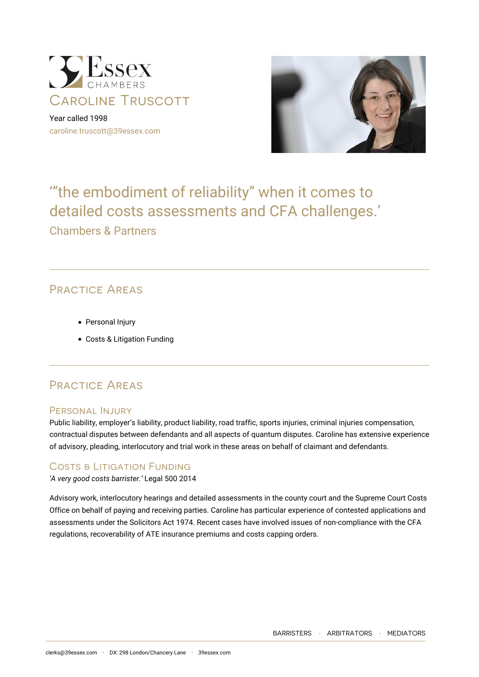

Year called 1998 [caroline.truscott@39essex.com](mailto:caroline.truscott@39essex.com)



# '"the embodiment of reliability" when it comes to detailed costs assessments and CFA challenges.' Chambers & Partners

# Practice Areas

- Personal Injury
- Costs & Litigation Funding

## Practice Areas

### Personal Injury

Public liability, employer's liability, product liability, road traffic, sports injuries, criminal injuries compensation, contractual disputes between defendants and all aspects of quantum disputes. Caroline has extensive experience of advisory, pleading, interlocutory and trial work in these areas on behalf of claimant and defendants.

### Costs & Litigation Funding

*'A very good costs barrister.'* Legal 500 2014

Advisory work, interlocutory hearings and detailed assessments in the county court and the Supreme Court Costs Office on behalf of paying and receiving parties. Caroline has particular experience of contested applications and assessments under the Solicitors Act 1974. Recent cases have involved issues of non-compliance with the CFA regulations, recoverability of ATE insurance premiums and costs capping orders.